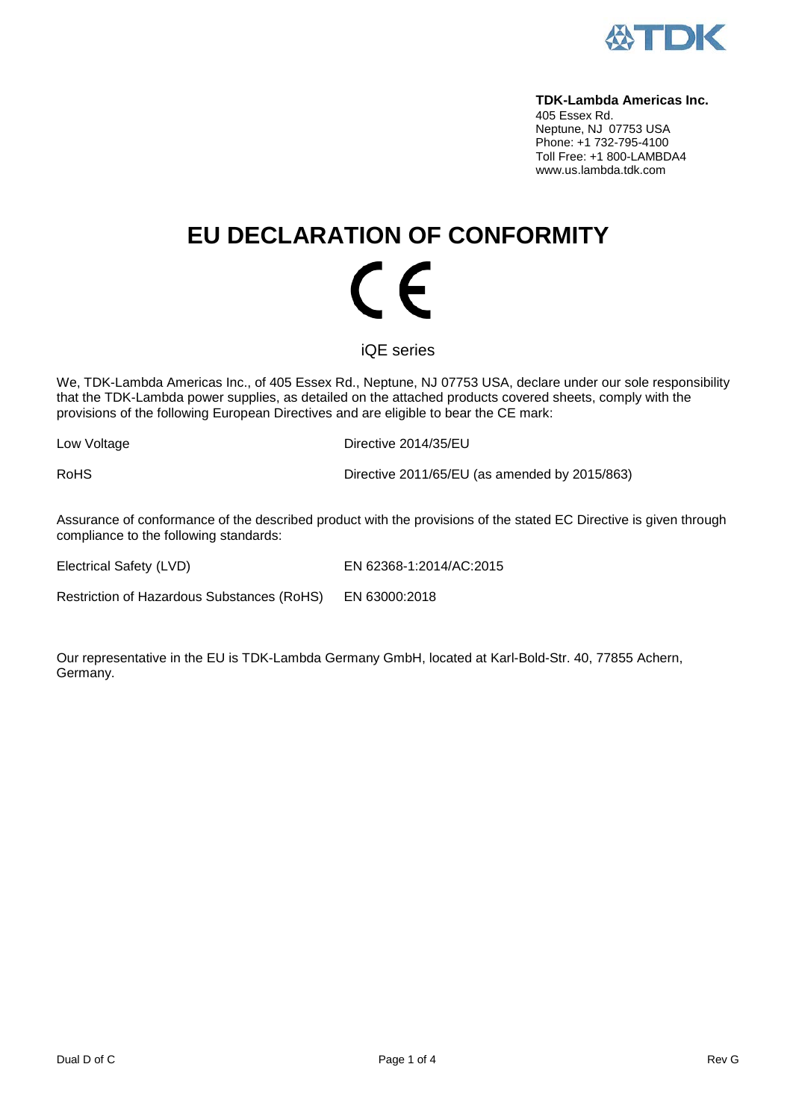

#### **TDK-Lambda Americas Inc.**

405 Essex Rd. Neptune, NJ 07753 USA Phone: +1 732-795-4100 Toll Free: +1 800-LAMBDA4 www.us.lambda.tdk.com

# **EU DECLARATION OF CONFORMITY** (  $\epsilon$

iQE series

We, TDK-Lambda Americas Inc., of 405 Essex Rd., Neptune, NJ 07753 USA, declare under our sole responsibility that the TDK-Lambda power supplies, as detailed on the attached products covered sheets, comply with the provisions of the following European Directives and are eligible to bear the CE mark:

Low Voltage **Directive 2014/35/EU** 

RoHS Directive 2011/65/EU (as amended by 2015/863)

Assurance of conformance of the described product with the provisions of the stated EC Directive is given through compliance to the following standards:

Electrical Safety (LVD) EN 62368-1:2014/AC:2015

Restriction of Hazardous Substances (RoHS) EN 63000:2018

Our representative in the EU is TDK-Lambda Germany GmbH, located at Karl-Bold-Str. 40, 77855 Achern, Germany.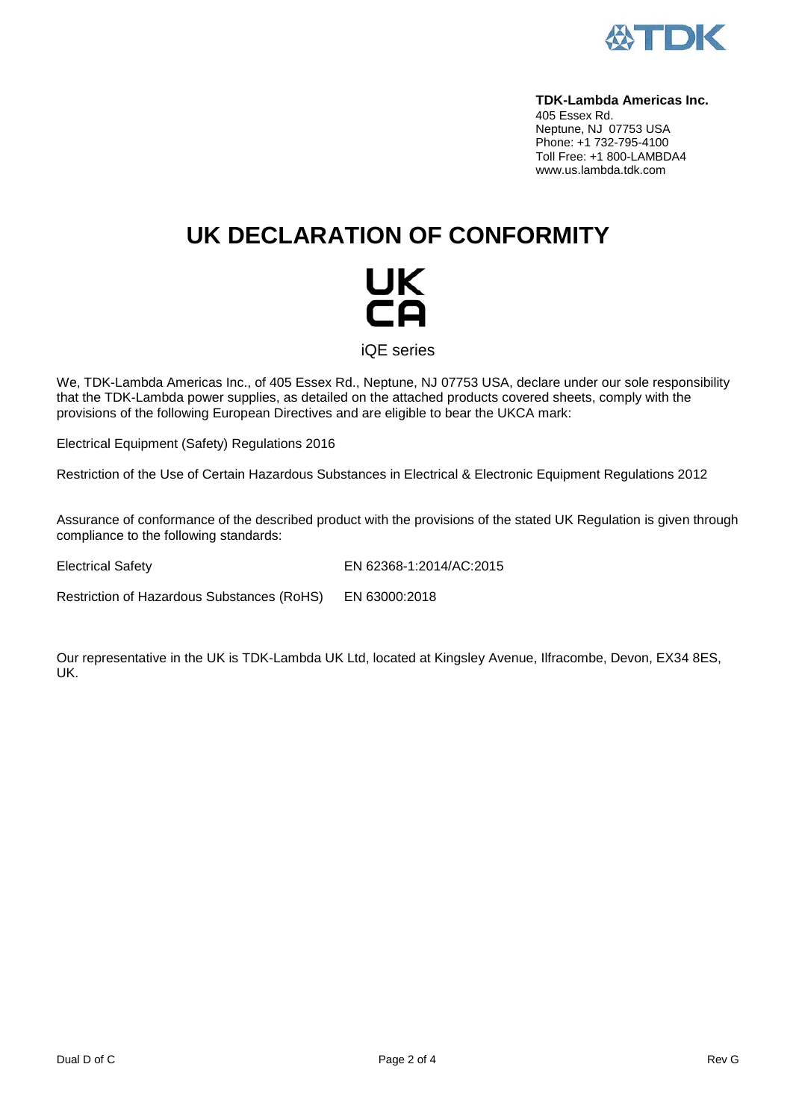

#### **TDK-Lambda Americas Inc.**

405 Essex Rd. Neptune, NJ 07753 USA Phone: +1 732-795-4100 Toll Free: +1 800-LAMBDA4 www.us.lambda.tdk.com

## **UK DECLARATION OF CONFORMITY**



iQE series

We, TDK-Lambda Americas Inc., of 405 Essex Rd., Neptune, NJ 07753 USA, declare under our sole responsibility that the TDK-Lambda power supplies, as detailed on the attached products covered sheets, comply with the provisions of the following European Directives and are eligible to bear the UKCA mark:

Electrical Equipment (Safety) Regulations 2016

Restriction of the Use of Certain Hazardous Substances in Electrical & Electronic Equipment Regulations 2012

Assurance of conformance of the described product with the provisions of the stated UK Regulation is given through compliance to the following standards:

Electrical Safety EN 62368-1:2014/AC:2015

Restriction of Hazardous Substances (RoHS) EN 63000:2018

Our representative in the UK is TDK-Lambda UK Ltd, located at Kingsley Avenue, Ilfracombe, Devon, EX34 8ES, UK.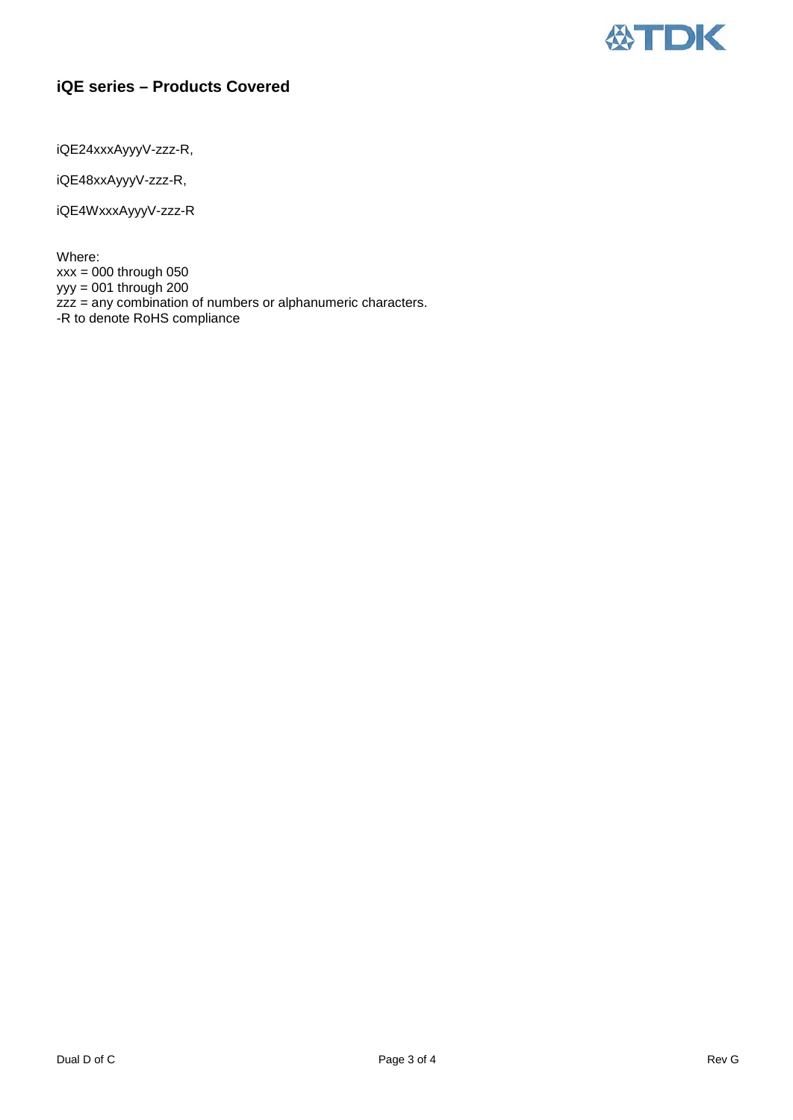

### **iQE series – Products Covered**

iQE24xxxAyyyV-zzz-R,

iQE48xxAyyyV-zzz-R,

iQE4WxxxAyyyV-zzz-R

Where: xxx = 000 through 050 yyy = 001 through 200 zzz = any combination of numbers or alphanumeric characters. -R to denote RoHS compliance